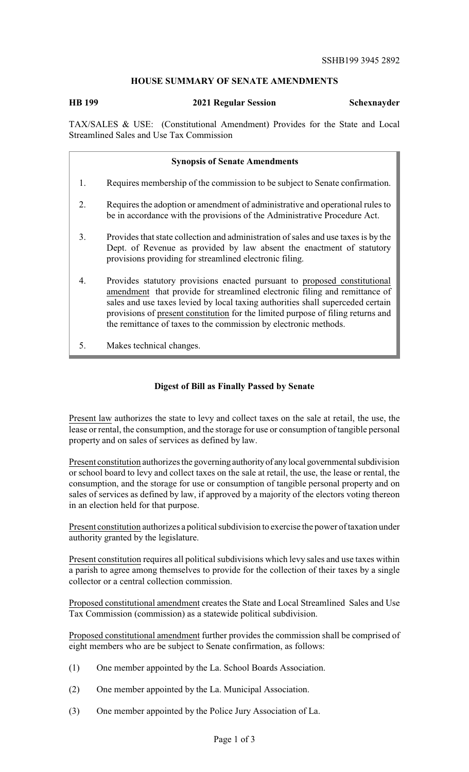## **HOUSE SUMMARY OF SENATE AMENDMENTS**

**HB 199 2021 Regular Session Schexnayder**

TAX/SALES & USE: (Constitutional Amendment) Provides for the State and Local Streamlined Sales and Use Tax Commission

|    | <b>Synopsis of Senate Amendments</b>                                                                                                                                                                                                                                                                                                                                                               |
|----|----------------------------------------------------------------------------------------------------------------------------------------------------------------------------------------------------------------------------------------------------------------------------------------------------------------------------------------------------------------------------------------------------|
| 1. | Requires membership of the commission to be subject to Senate confirmation.                                                                                                                                                                                                                                                                                                                        |
| 2. | Requires the adoption or amendment of administrative and operational rules to<br>be in accordance with the provisions of the Administrative Procedure Act.                                                                                                                                                                                                                                         |
| 3. | Provides that state collection and administration of sales and use taxes is by the<br>Dept. of Revenue as provided by law absent the enactment of statutory<br>provisions providing for streamlined electronic filing.                                                                                                                                                                             |
| 4. | Provides statutory provisions enacted pursuant to proposed constitutional<br>amendment that provide for streamlined electronic filing and remittance of<br>sales and use taxes levied by local taxing authorities shall superceded certain<br>provisions of present constitution for the limited purpose of filing returns and<br>the remittance of taxes to the commission by electronic methods. |

5. Makes technical changes.

## **Digest of Bill as Finally Passed by Senate**

Present law authorizes the state to levy and collect taxes on the sale at retail, the use, the lease or rental, the consumption, and the storage for use or consumption of tangible personal property and on sales of services as defined by law.

Present constitution authorizes the governing authority of any local governmental subdivision or school board to levy and collect taxes on the sale at retail, the use, the lease or rental, the consumption, and the storage for use or consumption of tangible personal property and on sales of services as defined by law, if approved by a majority of the electors voting thereon in an election held for that purpose.

Present constitution authorizes a political subdivision to exercise the power of taxation under authority granted by the legislature.

Present constitution requires all political subdivisions which levy sales and use taxes within a parish to agree among themselves to provide for the collection of their taxes by a single collector or a central collection commission.

Proposed constitutional amendment creates the State and Local Streamlined Sales and Use Tax Commission (commission) as a statewide political subdivision.

Proposed constitutional amendment further provides the commission shall be comprised of eight members who are be subject to Senate confirmation, as follows:

- (1) One member appointed by the La. School Boards Association.
- (2) One member appointed by the La. Municipal Association.
- (3) One member appointed by the Police Jury Association of La.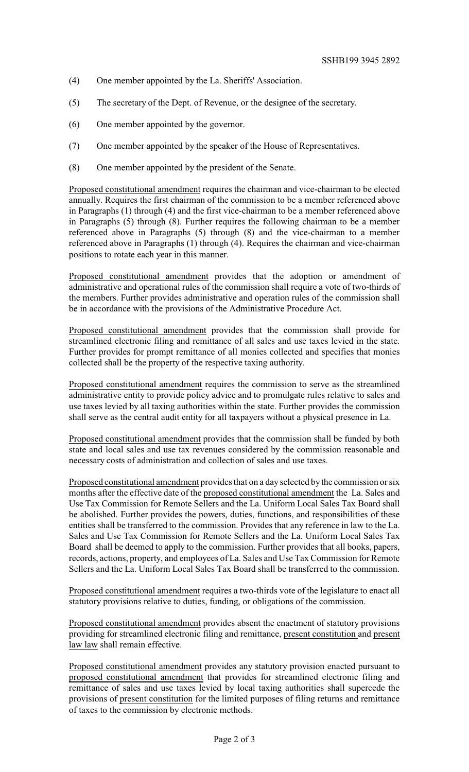- (4) One member appointed by the La. Sheriffs' Association.
- (5) The secretary of the Dept. of Revenue, or the designee of the secretary.
- (6) One member appointed by the governor.
- (7) One member appointed by the speaker of the House of Representatives.
- (8) One member appointed by the president of the Senate.

Proposed constitutional amendment requires the chairman and vice-chairman to be elected annually. Requires the first chairman of the commission to be a member referenced above in Paragraphs (1) through (4) and the first vice-chairman to be a member referenced above in Paragraphs (5) through (8). Further requires the following chairman to be a member referenced above in Paragraphs (5) through (8) and the vice-chairman to a member referenced above in Paragraphs (1) through (4). Requires the chairman and vice-chairman positions to rotate each year in this manner.

Proposed constitutional amendment provides that the adoption or amendment of administrative and operational rules of the commission shall require a vote of two-thirds of the members. Further provides administrative and operation rules of the commission shall be in accordance with the provisions of the Administrative Procedure Act.

Proposed constitutional amendment provides that the commission shall provide for streamlined electronic filing and remittance of all sales and use taxes levied in the state. Further provides for prompt remittance of all monies collected and specifies that monies collected shall be the property of the respective taxing authority.

Proposed constitutional amendment requires the commission to serve as the streamlined administrative entity to provide policy advice and to promulgate rules relative to sales and use taxes levied by all taxing authorities within the state. Further provides the commission shall serve as the central audit entity for all taxpayers without a physical presence in La.

Proposed constitutional amendment provides that the commission shall be funded by both state and local sales and use tax revenues considered by the commission reasonable and necessary costs of administration and collection of sales and use taxes.

Proposed constitutional amendment provides that on a day selected bythe commission or six months after the effective date of the proposed constitutional amendment the La. Sales and Use Tax Commission for Remote Sellers and the La. Uniform Local Sales Tax Board shall be abolished. Further provides the powers, duties, functions, and responsibilities of these entities shall be transferred to the commission. Provides that any reference in law to the La. Sales and Use Tax Commission for Remote Sellers and the La. Uniform Local Sales Tax Board shall be deemed to apply to the commission. Further provides that all books, papers, records, actions, property, and employees of La. Sales and Use Tax Commission for Remote Sellers and the La. Uniform Local Sales Tax Board shall be transferred to the commission.

Proposed constitutional amendment requires a two-thirds vote of the legislature to enact all statutory provisions relative to duties, funding, or obligations of the commission.

Proposed constitutional amendment provides absent the enactment of statutory provisions providing for streamlined electronic filing and remittance, present constitution and present law law shall remain effective.

Proposed constitutional amendment provides any statutory provision enacted pursuant to proposed constitutional amendment that provides for streamlined electronic filing and remittance of sales and use taxes levied by local taxing authorities shall supercede the provisions of present constitution for the limited purposes of filing returns and remittance of taxes to the commission by electronic methods.